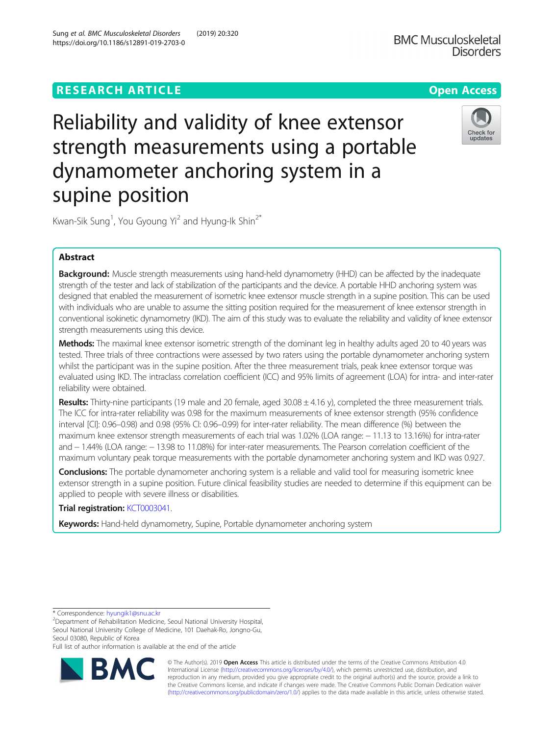# **RESEARCH ARTICLE Example 2018 12:30 The Contract of Contract ACCESS**

# Reliability and validity of knee extensor strength measurements using a portable dynamometer anchoring system in a supine position

Kwan-Sik Sung<sup>1</sup>, You Gyoung Yi<sup>2</sup> and Hyung-Ik Shin<sup>2\*</sup>

# Abstract

Background: Muscle strength measurements using hand-held dynamometry (HHD) can be affected by the inadequate strength of the tester and lack of stabilization of the participants and the device. A portable HHD anchoring system was designed that enabled the measurement of isometric knee extensor muscle strength in a supine position. This can be used with individuals who are unable to assume the sitting position required for the measurement of knee extensor strength in conventional isokinetic dynamometry (IKD). The aim of this study was to evaluate the reliability and validity of knee extensor strength measurements using this device.

Methods: The maximal knee extensor isometric strength of the dominant leg in healthy adults aged 20 to 40 years was tested. Three trials of three contractions were assessed by two raters using the portable dynamometer anchoring system whilst the participant was in the supine position. After the three measurement trials, peak knee extensor torque was evaluated using IKD. The intraclass correlation coefficient (ICC) and 95% limits of agreement (LOA) for intra- and inter-rater reliability were obtained.

Results: Thirty-nine participants (19 male and 20 female, aged  $30.08 \pm 4.16$  y), completed the three measurement trials. The ICC for intra-rater reliability was 0.98 for the maximum measurements of knee extensor strength (95% confidence interval [CI]: 0.96–0.98) and 0.98 (95% CI: 0.96–0.99) for inter-rater reliability. The mean difference (%) between the maximum knee extensor strength measurements of each trial was 1.02% (LOA range: − 11.13 to 13.16%) for intra-rater and − 1.44% (LOA range: − 13.98 to 11.08%) for inter-rater measurements. The Pearson correlation coefficient of the maximum voluntary peak torque measurements with the portable dynamometer anchoring system and IKD was 0.927.

**Conclusions:** The portable dynamometer anchoring system is a reliable and valid tool for measuring isometric knee extensor strength in a supine position. Future clinical feasibility studies are needed to determine if this equipment can be applied to people with severe illness or disabilities.

Trial registration: [KCT0003041](https://cris.nih.go.kr/cris/search/search_result_st01.jsp?seq=11713).

Keywords: Hand-held dynamometry, Supine, Portable dynamometer anchoring system

\* Correspondence: [hyungik1@snu.ac.kr](mailto:hyungik1@snu.ac.kr) <sup>2</sup>

<sup>2</sup>Department of Rehabilitation Medicine, Seoul National University Hospital, Seoul National University College of Medicine, 101 Daehak-Ro, Jongno-Gu, Seoul 03080, Republic of Korea

Full list of author information is available at the end of the article



© The Author(s). 2019 **Open Access** This article is distributed under the terms of the Creative Commons Attribution 4.0 International License [\(http://creativecommons.org/licenses/by/4.0/](http://creativecommons.org/licenses/by/4.0/)), which permits unrestricted use, distribution, and reproduction in any medium, provided you give appropriate credit to the original author(s) and the source, provide a link to the Creative Commons license, and indicate if changes were made. The Creative Commons Public Domain Dedication waiver [\(http://creativecommons.org/publicdomain/zero/1.0/](http://creativecommons.org/publicdomain/zero/1.0/)) applies to the data made available in this article, unless otherwise stated.

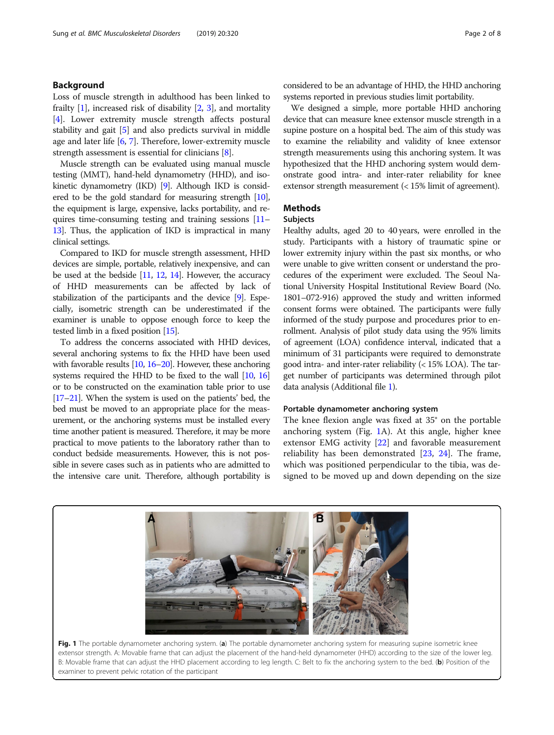# <span id="page-1-0"></span>Background

Loss of muscle strength in adulthood has been linked to frailty  $[1]$  $[1]$ , increased risk of disability  $[2, 3]$  $[2, 3]$  $[2, 3]$  $[2, 3]$ , and mortality [[4\]](#page-6-0). Lower extremity muscle strength affects postural stability and gait [\[5](#page-6-0)] and also predicts survival in middle age and later life [\[6,](#page-6-0) [7\]](#page-6-0). Therefore, lower-extremity muscle strength assessment is essential for clinicians [\[8](#page-6-0)].

Muscle strength can be evaluated using manual muscle testing (MMT), hand-held dynamometry (HHD), and isokinetic dynamometry (IKD) [\[9](#page-6-0)]. Although IKD is considered to be the gold standard for measuring strength [\[10](#page-6-0)], the equipment is large, expensive, lacks portability, and requires time-consuming testing and training sessions [\[11](#page-6-0)– [13](#page-6-0)]. Thus, the application of IKD is impractical in many clinical settings.

Compared to IKD for muscle strength assessment, HHD devices are simple, portable, relatively inexpensive, and can be used at the bedside  $[11, 12, 14]$  $[11, 12, 14]$  $[11, 12, 14]$  $[11, 12, 14]$  $[11, 12, 14]$  $[11, 12, 14]$ . However, the accuracy of HHD measurements can be affected by lack of stabilization of the participants and the device [[9](#page-6-0)]. Especially, isometric strength can be underestimated if the examiner is unable to oppose enough force to keep the tested limb in a fixed position [\[15\]](#page-6-0).

To address the concerns associated with HHD devices, several anchoring systems to fix the HHD have been used with favorable results [\[10,](#page-6-0) [16](#page-6-0)–[20\]](#page-6-0). However, these anchoring systems required the HHD to be fixed to the wall [\[10](#page-6-0), [16](#page-6-0)] or to be constructed on the examination table prior to use [[17](#page-6-0)–[21](#page-6-0)]. When the system is used on the patients' bed, the bed must be moved to an appropriate place for the measurement, or the anchoring systems must be installed every time another patient is measured. Therefore, it may be more practical to move patients to the laboratory rather than to conduct bedside measurements. However, this is not possible in severe cases such as in patients who are admitted to the intensive care unit. Therefore, although portability is

considered to be an advantage of HHD, the HHD anchoring systems reported in previous studies limit portability.

We designed a simple, more portable HHD anchoring device that can measure knee extensor muscle strength in a supine posture on a hospital bed. The aim of this study was to examine the reliability and validity of knee extensor strength measurements using this anchoring system. It was hypothesized that the HHD anchoring system would demonstrate good intra- and inter-rater reliability for knee extensor strength measurement (< 15% limit of agreement).

# Methods

# Subjects

Healthy adults, aged 20 to 40 years, were enrolled in the study. Participants with a history of traumatic spine or lower extremity injury within the past six months, or who were unable to give written consent or understand the procedures of the experiment were excluded. The Seoul National University Hospital Institutional Review Board (No. 1801–072-916) approved the study and written informed consent forms were obtained. The participants were fully informed of the study purpose and procedures prior to enrollment. Analysis of pilot study data using the 95% limits of agreement (LOA) confidence interval, indicated that a minimum of 31 participants were required to demonstrate good intra- and inter-rater reliability  $\langle$  < 15% LOA). The target number of participants was determined through pilot data analysis (Additional file [1](#page-6-0)).

# Portable dynamometer anchoring system

The knee flexion angle was fixed at 35° on the portable anchoring system (Fig. 1A). At this angle, higher knee extensor EMG activity [\[22\]](#page-6-0) and favorable measurement reliability has been demonstrated [[23,](#page-6-0) [24](#page-7-0)]. The frame, which was positioned perpendicular to the tibia, was designed to be moved up and down depending on the size



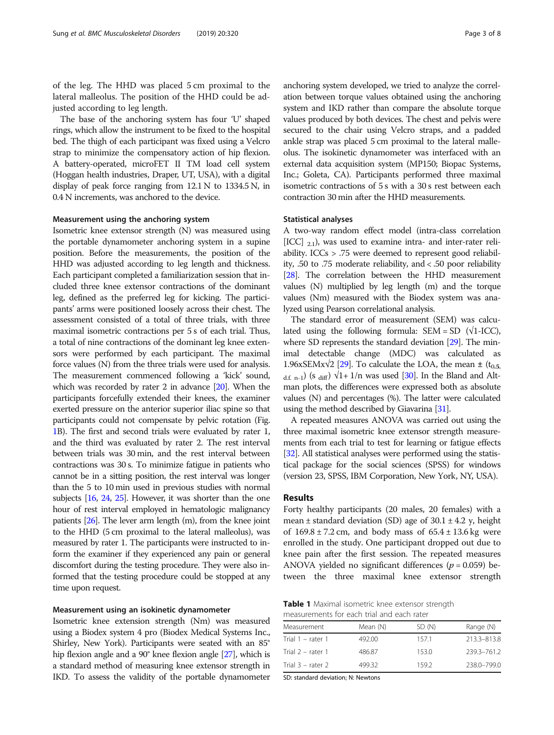<span id="page-2-0"></span>of the leg. The HHD was placed 5 cm proximal to the lateral malleolus. The position of the HHD could be adjusted according to leg length.

The base of the anchoring system has four 'U' shaped rings, which allow the instrument to be fixed to the hospital bed. The thigh of each participant was fixed using a Velcro strap to minimize the compensatory action of hip flexion. A battery-operated, microFET II TM load cell system (Hoggan health industries, Draper, UT, USA), with a digital display of peak force ranging from 12.1 N to 1334.5 N, in 0.4 N increments, was anchored to the device.

#### Measurement using the anchoring system

Isometric knee extensor strength (N) was measured using the portable dynamometer anchoring system in a supine position. Before the measurements, the position of the HHD was adjusted according to leg length and thickness. Each participant completed a familiarization session that included three knee extensor contractions of the dominant leg, defined as the preferred leg for kicking. The participants' arms were positioned loosely across their chest. The assessment consisted of a total of three trials, with three maximal isometric contractions per 5 s of each trial. Thus, a total of nine contractions of the dominant leg knee extensors were performed by each participant. The maximal force values (N) from the three trials were used for analysis. The measurement commenced following a 'kick' sound, which was recorded by rater 2 in advance [\[20\]](#page-6-0). When the participants forcefully extended their knees, the examiner exerted pressure on the anterior superior iliac spine so that participants could not compensate by pelvic rotation (Fig. [1](#page-1-0)B). The first and second trials were evaluated by rater 1, and the third was evaluated by rater 2. The rest interval between trials was 30 min, and the rest interval between contractions was 30 s. To minimize fatigue in patients who cannot be in a sitting position, the rest interval was longer than the 5 to 10 min used in previous studies with normal subjects [\[16](#page-6-0), [24](#page-7-0), [25](#page-7-0)]. However, it was shorter than the one hour of rest interval employed in hematologic malignancy patients [\[26](#page-7-0)]. The lever arm length (m), from the knee joint to the HHD (5 cm proximal to the lateral malleolus), was measured by rater 1. The participants were instructed to inform the examiner if they experienced any pain or general discomfort during the testing procedure. They were also informed that the testing procedure could be stopped at any time upon request.

## Measurement using an isokinetic dynamometer

Isometric knee extension strength (Nm) was measured using a Biodex system 4 pro (Biodex Medical Systems Inc., Shirley, New York). Participants were seated with an 85° hip flexion angle and a 90° knee flexion angle [[27](#page-7-0)], which is a standard method of measuring knee extensor strength in IKD. To assess the validity of the portable dynamometer anchoring system developed, we tried to analyze the correlation between torque values obtained using the anchoring system and IKD rather than compare the absolute torque values produced by both devices. The chest and pelvis were secured to the chair using Velcro straps, and a padded ankle strap was placed 5 cm proximal to the lateral malleolus. The isokinetic dynamometer was interfaced with an external data acquisition system (MP150; Biopac Systems, Inc.; Goleta, CA). Participants performed three maximal isometric contractions of 5 s with a 30 s rest between each contraction 30 min after the HHD measurements.

#### Statistical analyses

A two-way random effect model (intra-class correlation [ICC]  $_{2.1}$ ), was used to examine intra- and inter-rater reliability. ICCs > .75 were deemed to represent good reliability, .50 to .75 moderate reliability, and < .50 poor reliability [[28](#page-7-0)]. The correlation between the HHD measurement values (N) multiplied by leg length (m) and the torque values (Nm) measured with the Biodex system was analyzed using Pearson correlational analysis.

The standard error of measurement (SEM) was calculated using the following formula:  $SEM = SD$  ( $\sqrt{1-ICC}$ ), where SD represents the standard deviation [\[29\]](#page-7-0). The minimal detectable change (MDC) was calculated as 1.96xSEMx $\sqrt{2}$  [\[29\]](#page-7-0). To calculate the LOA, the mean  $\pm$  (t<sub>0.5,</sub>  $_{df}$  n-1) (s diff)  $\sqrt{1+1/n}$  was used [\[30](#page-7-0)]. In the Bland and Altman plots, the differences were expressed both as absolute values (N) and percentages (%). The latter were calculated using the method described by Giavarina [\[31\]](#page-7-0).

A repeated measures ANOVA was carried out using the three maximal isometric knee extensor strength measurements from each trial to test for learning or fatigue effects [[32](#page-7-0)]. All statistical analyses were performed using the statistical package for the social sciences (SPSS) for windows (version 23, SPSS, IBM Corporation, New York, NY, USA).

# Results

Forty healthy participants (20 males, 20 females) with a mean  $\pm$  standard deviation (SD) age of 30.1  $\pm$  4.2 y, height of  $169.8 \pm 7.2$  cm, and body mass of  $65.4 \pm 13.6$  kg were enrolled in the study. One participant dropped out due to knee pain after the first session. The repeated measures ANOVA yielded no significant differences ( $p = 0.059$ ) between the three maximal knee extensor strength

**Table 1** Maximal isometric knee extensor strength measurements for each trial and each rater

| Measurement       | Mean (N) | SD (N) | Range (N)   |
|-------------------|----------|--------|-------------|
| Trial 1 – rater 1 | 492.00   | 1571   | 213.3-813.8 |
| Trial 2 – rater 1 | 486.87   | 153.0  | 239.3-761.2 |
| Trial 3 – rater 2 | 499.32   | 1592   | 238.0-799.0 |

SD: standard deviation; N: Newtons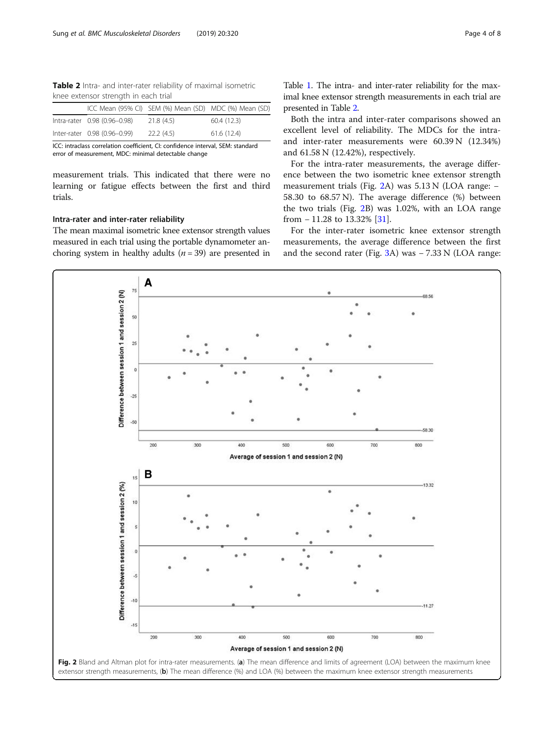Table 2 Intra- and inter-rater reliability of maximal isometric knee extensor strength in each trial

|                              |           | ICC Mean (95% CI) SEM (%) Mean (SD) MDC (%) Mean (SD) |
|------------------------------|-----------|-------------------------------------------------------|
| Intra-rater 0.98 (0.96-0.98) | 21.8(4.5) | 60.4(12.3)                                            |
| Inter-rater 0.98 (0.96-0.99) | 22.2(4.5) | 61.6(12.4)                                            |

ICC: intraclass correlation coefficient, CI: confidence interval, SEM: standard error of measurement, MDC: minimal detectable change

measurement trials. This indicated that there were no learning or fatigue effects between the first and third trials.

# Intra-rater and inter-rater reliability

The mean maximal isometric knee extensor strength values measured in each trial using the portable dynamometer anchoring system in healthy adults  $(n = 39)$  are presented in

Table [1](#page-2-0). The intra- and inter-rater reliability for the maximal knee extensor strength measurements in each trial are presented in Table 2.

Both the intra and inter-rater comparisons showed an excellent level of reliability. The MDCs for the intraand inter-rater measurements were 60.39 N (12.34%) and 61.58 N (12.42%), respectively.

For the intra-rater measurements, the average difference between the two isometric knee extensor strength measurement trials (Fig. 2A) was 5.13 N (LOA range: − 58.30 to 68.57 N). The average difference (%) between the two trials (Fig. 2B) was 1.02%, with an LOA range from − 11.28 to 13.32% [[31\]](#page-7-0).

For the inter-rater isometric knee extensor strength measurements, the average difference between the first and the second rater (Fig. [3A](#page-4-0)) was − 7.33 N (LOA range:

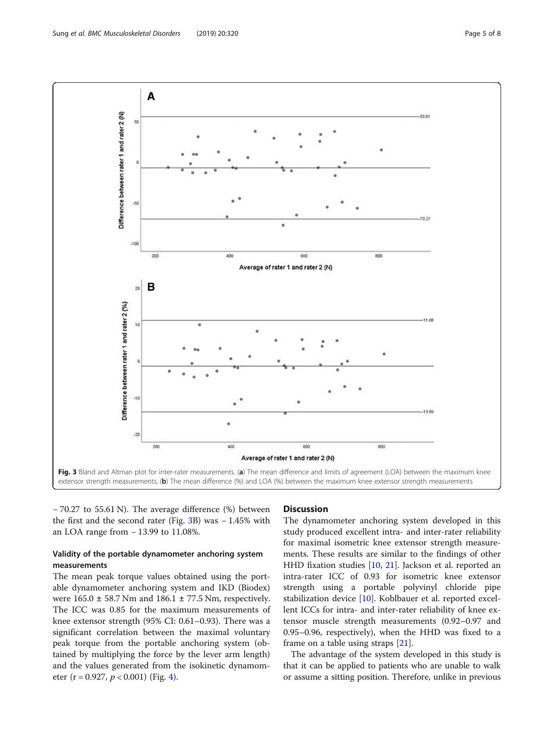<span id="page-4-0"></span>

− 70.27 to 55.61 N). The average difference (%) between the first and the second rater (Fig. 3B) was − 1.45% with an LOA range from − 13.99 to 11.08%.

# Validity of the portable dynamometer anchoring system measurements

The mean peak torque values obtained using the portable dynamometer anchoring system and IKD (Biodex) were  $165.0 \pm 58.7$  Nm and  $186.1 \pm 77.5$  Nm, respectively. The ICC was 0.85 for the maximum measurements of knee extensor strength (95% CI: 0.61–0.93). There was a significant correlation between the maximal voluntary peak torque from the portable anchoring system (obtained by multiplying the force by the lever arm length) and the values generated from the isokinetic dynamometer (r = 0.927,  $p < 0.001$ ) (Fig. [4](#page-5-0)).

## **Discussion**

The dynamometer anchoring system developed in this study produced excellent intra- and inter-rater reliability for maximal isometric knee extensor strength measurements. These results are similar to the findings of other HHD fixation studies [\[10](#page-6-0), [21](#page-6-0)]. Jackson et al. reported an intra-rater ICC of 0.93 for isometric knee extensor strength using a portable polyvinyl chloride pipe stabilization device [\[10](#page-6-0)]. Koblbauer et al. reported excellent ICCs for intra- and inter-rater reliability of knee extensor muscle strength measurements (0.92–0.97 and 0.95–0.96, respectively), when the HHD was fixed to a frame on a table using straps [\[21](#page-6-0)].

The advantage of the system developed in this study is that it can be applied to patients who are unable to walk or assume a sitting position. Therefore, unlike in previous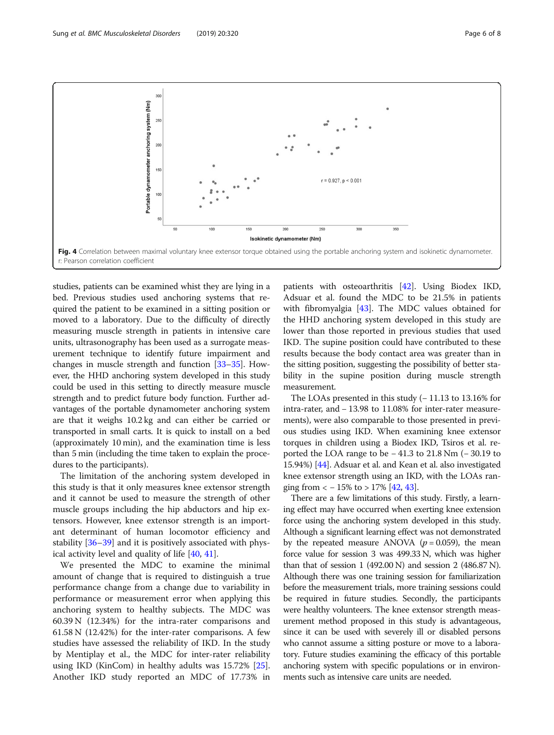<span id="page-5-0"></span>Sung et al. BMC Musculoskeletal Disorders (2019) 20:320 Page 6 of 8



studies, patients can be examined whist they are lying in a bed. Previous studies used anchoring systems that required the patient to be examined in a sitting position or moved to a laboratory. Due to the difficulty of directly measuring muscle strength in patients in intensive care units, ultrasonography has been used as a surrogate measurement technique to identify future impairment and changes in muscle strength and function [\[33](#page-7-0)–[35](#page-7-0)]. However, the HHD anchoring system developed in this study could be used in this setting to directly measure muscle strength and to predict future body function. Further advantages of the portable dynamometer anchoring system are that it weighs 10.2 kg and can either be carried or transported in small carts. It is quick to install on a bed (approximately 10 min), and the examination time is less than 5 min (including the time taken to explain the procedures to the participants).

The limitation of the anchoring system developed in this study is that it only measures knee extensor strength and it cannot be used to measure the strength of other muscle groups including the hip abductors and hip extensors. However, knee extensor strength is an important determinant of human locomotor efficiency and stability [\[36](#page-7-0)–[39](#page-7-0)] and it is positively associated with physical activity level and quality of life [[40,](#page-7-0) [41\]](#page-7-0).

We presented the MDC to examine the minimal amount of change that is required to distinguish a true performance change from a change due to variability in performance or measurement error when applying this anchoring system to healthy subjects. The MDC was 60.39 N (12.34%) for the intra-rater comparisons and 61.58 N (12.42%) for the inter-rater comparisons. A few studies have assessed the reliability of IKD. In the study by Mentiplay et al., the MDC for inter-rater reliability using IKD (KinCom) in healthy adults was 15.72% [\[25](#page-7-0)]. Another IKD study reported an MDC of 17.73% in

patients with osteoarthritis [[42](#page-7-0)]. Using Biodex IKD, Adsuar et al. found the MDC to be 21.5% in patients with fibromyalgia [[43](#page-7-0)]. The MDC values obtained for the HHD anchoring system developed in this study are lower than those reported in previous studies that used IKD. The supine position could have contributed to these results because the body contact area was greater than in the sitting position, suggesting the possibility of better stability in the supine position during muscle strength measurement.

The LOAs presented in this study (− 11.13 to 13.16% for intra-rater, and − 13.98 to 11.08% for inter-rater measurements), were also comparable to those presented in previous studies using IKD. When examining knee extensor torques in children using a Biodex IKD, Tsiros et al. reported the LOA range to be − 41.3 to 21.8 Nm (− 30.19 to 15.94%) [[44](#page-7-0)]. Adsuar et al. and Kean et al. also investigated knee extensor strength using an IKD, with the LOAs ranging from  $<-15\%$  to  $>17\%$  [\[42,](#page-7-0) [43](#page-7-0)].

There are a few limitations of this study. Firstly, a learning effect may have occurred when exerting knee extension force using the anchoring system developed in this study. Although a significant learning effect was not demonstrated by the repeated measure ANOVA ( $p = 0.059$ ), the mean force value for session 3 was 499.33 N, which was higher than that of session  $1$  (492.00 N) and session  $2$  (486.87 N). Although there was one training session for familiarization before the measurement trials, more training sessions could be required in future studies. Secondly, the participants were healthy volunteers. The knee extensor strength measurement method proposed in this study is advantageous, since it can be used with severely ill or disabled persons who cannot assume a sitting posture or move to a laboratory. Future studies examining the efficacy of this portable anchoring system with specific populations or in environments such as intensive care units are needed.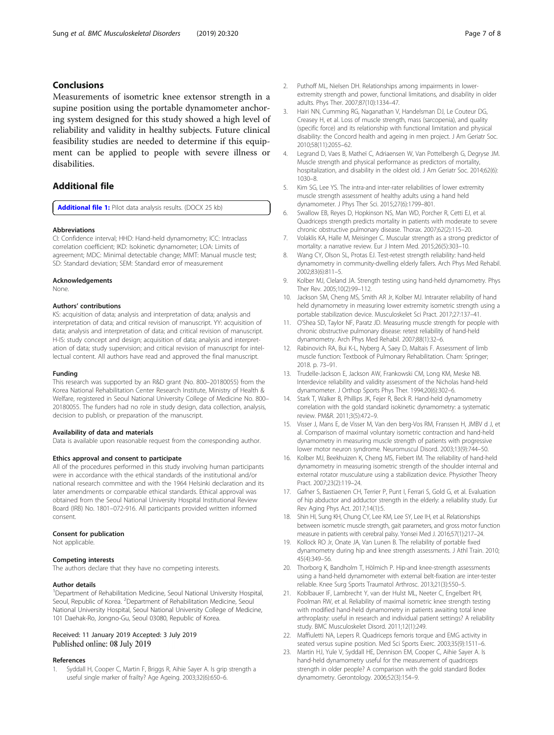# <span id="page-6-0"></span>Conclusions

Measurements of isometric knee extensor strength in a supine position using the portable dynamometer anchoring system designed for this study showed a high level of reliability and validity in healthy subjects. Future clinical feasibility studies are needed to determine if this equipment can be applied to people with severe illness or disabilities.

# Additional file

[Additional file 1:](https://doi.org/10.1186/s12891-019-2703-0) Pilot data analysis results. (DOCX 25 kb)

#### Abbreviations

CI: Confidence interval; HHD: Hand-held dynamometry; ICC: Intraclass correlation coefficient; IKD: Isokinetic dynamometer; LOA: Limits of agreement; MDC: Minimal detectable change; MMT: Manual muscle test; SD: Standard deviation; SEM: Standard error of measurement

#### Acknowledgements

None.

#### Authors' contributions

KS: acquisition of data; analysis and interpretation of data; analysis and interpretation of data; and critical revision of manuscript. YY: acquisition of data; analysis and interpretation of data; and critical revision of manuscript. H-IS: study concept and design; acquisition of data; analysis and interpretation of data; study supervision; and critical revision of manuscript for intellectual content. All authors have read and approved the final manuscript.

#### Funding

This research was supported by an R&D grant (No. 800–20180055) from the Korea National Rehabilitation Center Research Institute, Ministry of Health & Welfare, registered in Seoul National University College of Medicine No. 800– 20180055. The funders had no role in study design, data collection, analysis, decision to publish, or preparation of the manuscript.

#### Availability of data and materials

Data is available upon reasonable request from the corresponding author.

#### Ethics approval and consent to participate

All of the procedures performed in this study involving human participants were in accordance with the ethical standards of the institutional and/or national research committee and with the 1964 Helsinki declaration and its later amendments or comparable ethical standards. Ethical approval was obtained from the Seoul National University Hospital Institutional Review Board (IRB) No. 1801–072-916. All participants provided written informed consent.

#### Consent for publication

Not applicable.

#### Competing interests

The authors declare that they have no competing interests.

#### Author details

<sup>1</sup>Department of Rehabilitation Medicine, Seoul National University Hospital, Seoul, Republic of Korea. <sup>2</sup>Department of Rehabilitation Medicine, Seoul National University Hospital, Seoul National University College of Medicine, 101 Daehak-Ro, Jongno-Gu, Seoul 03080, Republic of Korea.

## Received: 11 January 2019 Accepted: 3 July 2019 Published online: 08 July 2019

#### References

1. Syddall H, Cooper C, Martin F, Briggs R, Aihie Sayer A. Is grip strength a useful single marker of frailty? Age Ageing. 2003;32(6):650–6.

- 2. Puthoff ML, Nielsen DH. Relationships among impairments in lowerextremity strength and power, functional limitations, and disability in older adults. Phys Ther. 2007;87(10):1334–47.
- 3. Hairi NN, Cumming RG, Naganathan V, Handelsman DJ, Le Couteur DG, Creasey H, et al. Loss of muscle strength, mass (sarcopenia), and quality (specific force) and its relationship with functional limitation and physical disability: the Concord health and ageing in men project. J Am Geriatr Soc. 2010;58(11):2055–62.
- 4. Legrand D, Vaes B, Matheï C, Adriaensen W, Van Pottelbergh G, Degryse JM. Muscle strength and physical performance as predictors of mortality, hospitalization, and disability in the oldest old. J Am Geriatr Soc. 2014;62(6): 1030–8.
- 5. Kim SG, Lee YS. The intra-and inter-rater reliabilities of lower extremity muscle strength assessment of healthy adults using a hand held dynamometer. J Phys Ther Sci. 2015;27(6):1799–801.
- 6. Swallow EB, Reyes D, Hopkinson NS, Man WD, Porcher R, Cetti EJ, et al. Quadriceps strength predicts mortality in patients with moderate to severe chronic obstructive pulmonary disease. Thorax. 2007;62(2):115–20.
- 7. Volaklis KA, Halle M, Meisinger C. Muscular strength as a strong predictor of mortality: a narrative review. Eur J Intern Med. 2015;26(5):303–10.
- 8. Wang CY, Olson SL, Protas EJ. Test-retest strength reliability: hand-held dynamometry in community-dwelling elderly fallers. Arch Phys Med Rehabil. 2002;83(6):811–5.
- 9. Kolber MJ, Cleland JA. Strength testing using hand-held dynamometry. Phys Ther Rev. 2005;10(2):99–112.
- 10. Jackson SM, Cheng MS, Smith AR Jr, Kolber MJ. Intrarater reliability of hand held dynamometry in measuring lower extremity isometric strength using a portable stabilization device. Musculoskelet Sci Pract. 2017;27:137–41.
- 11. O'Shea SD, Taylor NF, Paratz JD. Measuring muscle strength for people with chronic obstructive pulmonary disease: retest reliability of hand-held dynamometry. Arch Phys Med Rehabil. 2007;88(1):32–6.
- 12. Rabinovich RA, Bui K-L, Nyberg A, Saey D, Maltais F. Assessment of limb muscle function: Textbook of Pulmonary Rehabilitation. Cham: Springer; 2018. p. 73–91.
- 13. Trudelle-Jackson E, Jackson AW, Frankowski CM, Long KM, Meske NB. Interdevice reliability and validity assessment of the Nicholas hand-held dynamometer. J Orthop Sports Phys Ther. 1994;20(6):302–6.
- 14. Stark T, Walker B, Phillips JK, Fejer R, Beck R. Hand-held dynamometry correlation with the gold standard isokinetic dynamometry: a systematic review. PM&R. 2011;3(5):472–9.
- 15. Visser J, Mans E, de Visser M, Van den berg-Vos RM, Franssen H, JMBV d J, et al. Comparison of maximal voluntary isometric contraction and hand-held dynamometry in measuring muscle strength of patients with progressive lower motor neuron syndrome. Neuromuscul Disord. 2003;13(9):744–50.
- 16. Kolber MJ, Beekhuizen K, Cheng MS, Fiebert IM. The reliability of hand-held dynamometry in measuring isometric strength of the shoulder internal and external rotator musculature using a stabilization device. Physiother Theory Pract. 2007;23(2):119–24.
- 17. Gafner S, Bastiaenen CH, Terrier P, Punt I, Ferrari S, Gold G, et al. Evaluation of hip abductor and adductor strength in the elderly: a reliability study. Eur Rev Aging Phys Act. 2017;14(1):5.
- 18. Shin HI, Sung KH, Chung CY, Lee KM, Lee SY, Lee IH, et al. Relationships between isometric muscle strength, gait parameters, and gross motor function measure in patients with cerebral palsy. Yonsei Med J. 2016;57(1):217–24.
- 19. Kollock RO Jr, Onate JA, Van Lunen B. The reliability of portable fixed dynamometry during hip and knee strength assessments. J Athl Train. 2010; 45(4):349–56.
- 20. Thorborg K, Bandholm T, Hölmich P. Hip-and knee-strength assessments using a hand-held dynamometer with external belt-fixation are inter-tester reliable. Knee Surg Sports Traumatol Arthrosc. 2013;21(3):550–5.
- 21. Koblbauer IF, Lambrecht Y, van der Hulst ML, Neeter C, Engelbert RH, Poolman RW, et al. Reliability of maximal isometric knee strength testing with modified hand-held dynamometry in patients awaiting total knee arthroplasty: useful in research and individual patient settings? A reliability study. BMC Musculoskelet Disord. 2011;12(1):249.
- 22. Maffiuletti NA, Lepers R. Quadriceps femoris torque and EMG activity in seated versus supine position. Med Sci Sports Exerc. 2003;35(9):1511–6.
- 23. Martin HJ, Yule V, Syddall HE, Dennison EM, Cooper C, Aihie Sayer A. Is hand-held dynamometry useful for the measurement of quadriceps strength in older people? A comparison with the gold standard Bodex dynamometry. Gerontology. 2006;52(3):154–9.